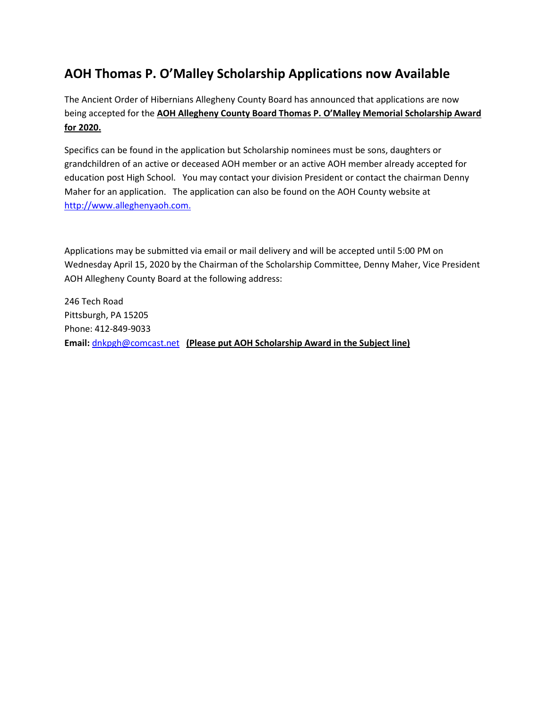## **AOH Thomas P. O'Malley Scholarship Applications now Available**

The Ancient Order of Hibernians Allegheny County Board has announced that applications are now being accepted for the **AOH Allegheny County Board Thomas P. O'Malley Memorial Scholarship Award for 2022.** 

Specifics can be found in the application but Scholarship nominees must be sons, daughters or grandchildren of an active or deceased AOH member or an active AOH member already accepted for education post High School. You may contact your division President or contact the County Board Chairman Bob Kelly for an application. The application can also be found on the AOH County website at [http://www.alleghenyaoh.com.](http://www.alleghenyaoh.com./)

Applications may be submitted via email or mail delivery and will be accepted until 5:00 PM on Thursday May 10, 2022 by the Chairman of the Scholarship Committee, Bob Kelly, Vice President AOH Allegheny County Board at the following address:

1014 Stratmore Avenue Pittsburgh, PA 15205 Phone: 412-250-1351 **Email:** [rmpk.kelly@gmail.com](mailto:dnkpgh@comcast.net) **(Please put AOH Scholarship Award in the Subject line)**